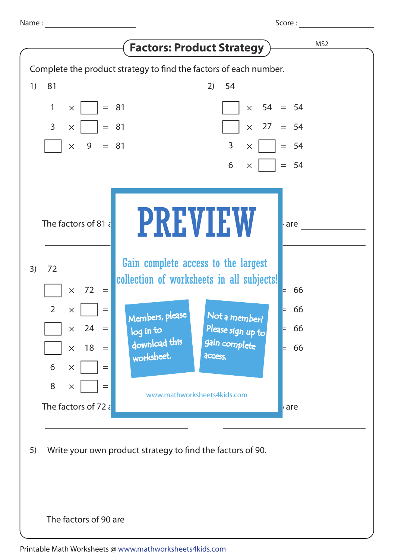